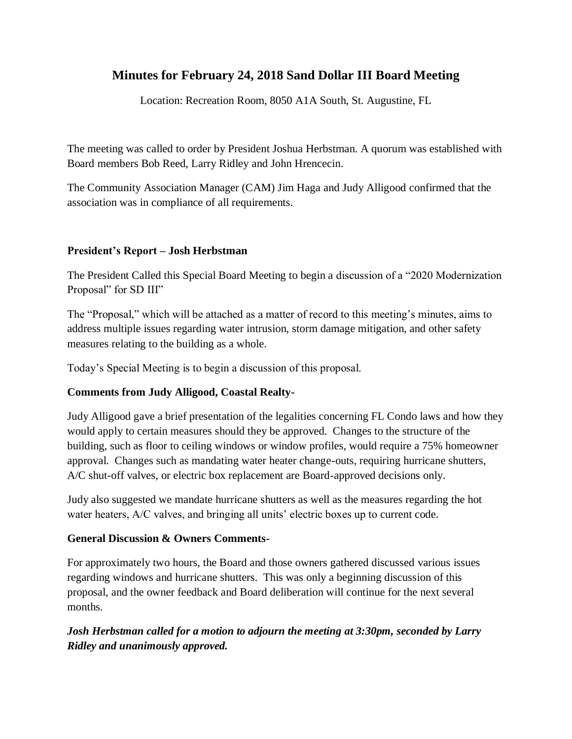# **Minutes for February 24, 2018 Sand Dollar III Board Meeting**

Location: Recreation Room, 8050 A1A South, St. Augustine, FL

The meeting was called to order by President Joshua Herbstman. A quorum was established with Board members Bob Reed, Larry Ridley and John Hrencecin.

The Community Association Manager (CAM) Jim Haga and Judy Alligood confirmed that the association was in compliance of all requirements.

### **President's Report – Josh Herbstman**

The President Called this Special Board Meeting to begin a discussion of a "2020 Modernization Proposal" for SD III"

The "Proposal," which will be attached as a matter of record to this meeting's minutes, aims to address multiple issues regarding water intrusion, storm damage mitigation, and other safety measures relating to the building as a whole.

Today's Special Meeting is to begin a discussion of this proposal.

### **Comments from Judy Alligood, Coastal Realty-**

Judy Alligood gave a brief presentation of the legalities concerning FL Condo laws and how they would apply to certain measures should they be approved. Changes to the structure of the building, such as floor to ceiling windows or window profiles, would require a 75% homeowner approval. Changes such as mandating water heater change-outs, requiring hurricane shutters, A/C shut-off valves, or electric box replacement are Board-approved decisions only.

Judy also suggested we mandate hurricane shutters as well as the measures regarding the hot water heaters, A/C valves, and bringing all units' electric boxes up to current code.

### **General Discussion & Owners Comments-**

For approximately two hours, the Board and those owners gathered discussed various issues regarding windows and hurricane shutters. This was only a beginning discussion of this proposal, and the owner feedback and Board deliberation will continue for the next several months.

## *Josh Herbstman called for a motion to adjourn the meeting at 3:30pm, seconded by Larry Ridley and unanimously approved.*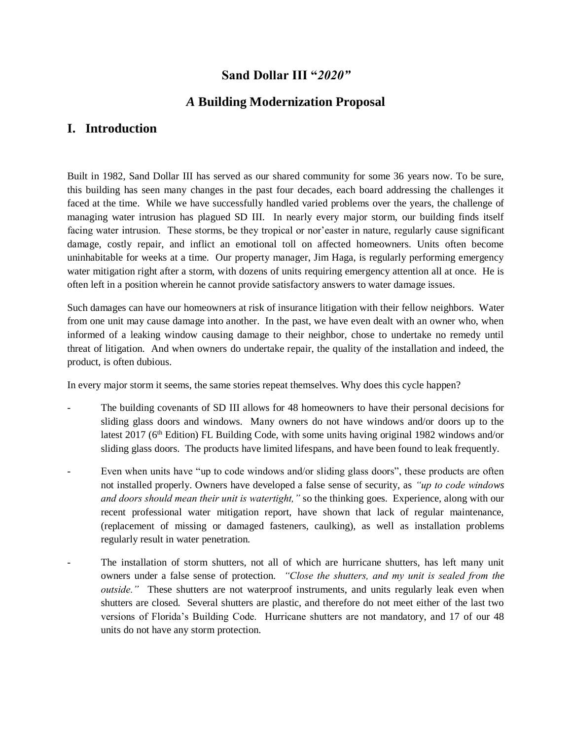## **Sand Dollar III "***2020"*

## *A* **Building Modernization Proposal**

## **I. Introduction**

Built in 1982, Sand Dollar III has served as our shared community for some 36 years now. To be sure, this building has seen many changes in the past four decades, each board addressing the challenges it faced at the time. While we have successfully handled varied problems over the years, the challenge of managing water intrusion has plagued SD III. In nearly every major storm, our building finds itself facing water intrusion. These storms, be they tropical or nor'easter in nature, regularly cause significant damage, costly repair, and inflict an emotional toll on affected homeowners. Units often become uninhabitable for weeks at a time. Our property manager, Jim Haga, is regularly performing emergency water mitigation right after a storm, with dozens of units requiring emergency attention all at once. He is often left in a position wherein he cannot provide satisfactory answers to water damage issues.

Such damages can have our homeowners at risk of insurance litigation with their fellow neighbors. Water from one unit may cause damage into another. In the past, we have even dealt with an owner who, when informed of a leaking window causing damage to their neighbor, chose to undertake no remedy until threat of litigation. And when owners do undertake repair, the quality of the installation and indeed, the product, is often dubious.

In every major storm it seems, the same stories repeat themselves. Why does this cycle happen?

- The building covenants of SD III allows for 48 homeowners to have their personal decisions for sliding glass doors and windows. Many owners do not have windows and/or doors up to the latest 2017 (6<sup>th</sup> Edition) FL Building Code, with some units having original 1982 windows and/or sliding glass doors. The products have limited lifespans, and have been found to leak frequently.
- Even when units have "up to code windows and/or sliding glass doors", these products are often not installed properly. Owners have developed a false sense of security, as *"up to code windows and doors should mean their unit is watertight,"* so the thinking goes. Experience, along with our recent professional water mitigation report, have shown that lack of regular maintenance, (replacement of missing or damaged fasteners, caulking), as well as installation problems regularly result in water penetration.
- The installation of storm shutters, not all of which are hurricane shutters, has left many unit owners under a false sense of protection. *"Close the shutters, and my unit is sealed from the outside.*" These shutters are not waterproof instruments, and units regularly leak even when shutters are closed. Several shutters are plastic, and therefore do not meet either of the last two versions of Florida's Building Code. Hurricane shutters are not mandatory, and 17 of our 48 units do not have any storm protection.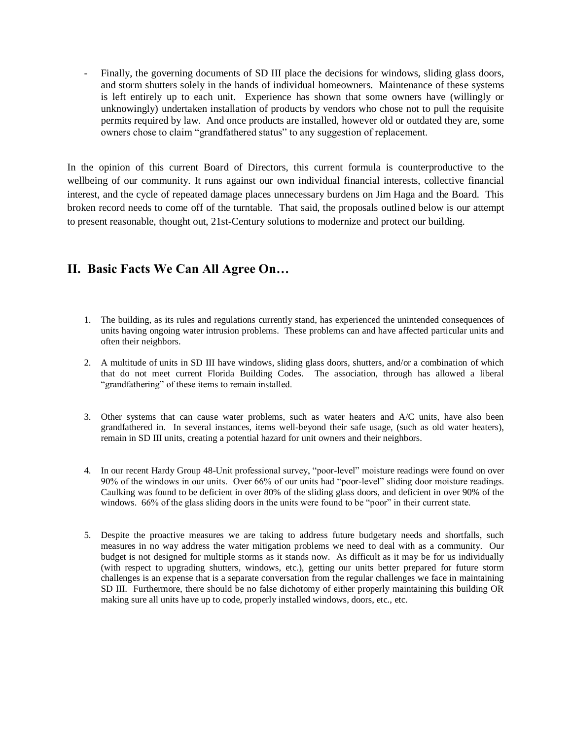Finally, the governing documents of SD III place the decisions for windows, sliding glass doors, and storm shutters solely in the hands of individual homeowners. Maintenance of these systems is left entirely up to each unit. Experience has shown that some owners have (willingly or unknowingly) undertaken installation of products by vendors who chose not to pull the requisite permits required by law. And once products are installed, however old or outdated they are, some owners chose to claim "grandfathered status" to any suggestion of replacement.

In the opinion of this current Board of Directors, this current formula is counterproductive to the wellbeing of our community. It runs against our own individual financial interests, collective financial interest, and the cycle of repeated damage places unnecessary burdens on Jim Haga and the Board. This broken record needs to come off of the turntable. That said, the proposals outlined below is our attempt to present reasonable, thought out, 21st-Century solutions to modernize and protect our building.

# **II. Basic Facts We Can All Agree On…**

- 1. The building, as its rules and regulations currently stand, has experienced the unintended consequences of units having ongoing water intrusion problems. These problems can and have affected particular units and often their neighbors.
- 2. A multitude of units in SD III have windows, sliding glass doors, shutters, and/or a combination of which that do not meet current Florida Building Codes. The association, through has allowed a liberal "grandfathering" of these items to remain installed.
- 3. Other systems that can cause water problems, such as water heaters and A/C units, have also been grandfathered in. In several instances, items well-beyond their safe usage, (such as old water heaters), remain in SD III units, creating a potential hazard for unit owners and their neighbors.
- 4. In our recent Hardy Group 48-Unit professional survey, "poor-level" moisture readings were found on over 90% of the windows in our units. Over 66% of our units had "poor-level" sliding door moisture readings. Caulking was found to be deficient in over 80% of the sliding glass doors, and deficient in over 90% of the windows. 66% of the glass sliding doors in the units were found to be "poor" in their current state.
- 5. Despite the proactive measures we are taking to address future budgetary needs and shortfalls, such measures in no way address the water mitigation problems we need to deal with as a community. Our budget is not designed for multiple storms as it stands now. As difficult as it may be for us individually (with respect to upgrading shutters, windows, etc.), getting our units better prepared for future storm challenges is an expense that is a separate conversation from the regular challenges we face in maintaining SD III. Furthermore, there should be no false dichotomy of either properly maintaining this building OR making sure all units have up to code, properly installed windows, doors, etc., etc.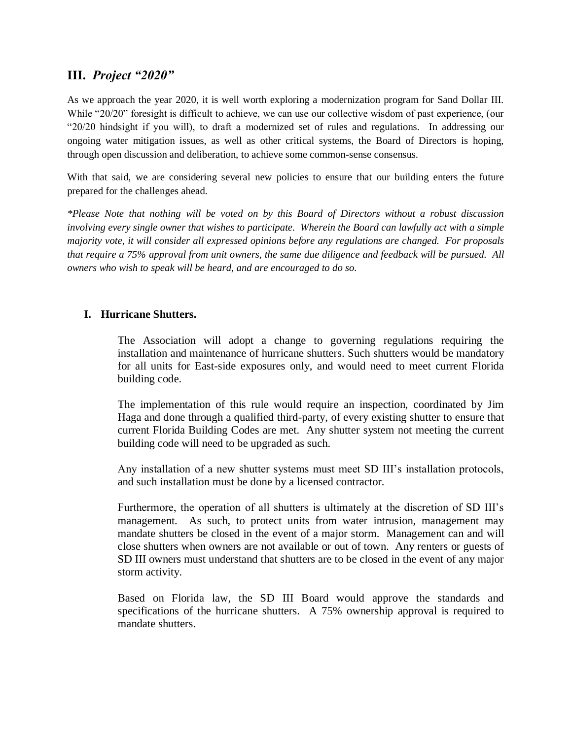## **III.** *Project "2020"*

As we approach the year 2020, it is well worth exploring a modernization program for Sand Dollar III. While "20/20" foresight is difficult to achieve, we can use our collective wisdom of past experience, (our "20/20 hindsight if you will), to draft a modernized set of rules and regulations. In addressing our ongoing water mitigation issues, as well as other critical systems, the Board of Directors is hoping, through open discussion and deliberation, to achieve some common-sense consensus.

With that said, we are considering several new policies to ensure that our building enters the future prepared for the challenges ahead.

*\*Please Note that nothing will be voted on by this Board of Directors without a robust discussion involving every single owner that wishes to participate. Wherein the Board can lawfully act with a simple majority vote, it will consider all expressed opinions before any regulations are changed. For proposals that require a 75% approval from unit owners, the same due diligence and feedback will be pursued. All owners who wish to speak will be heard, and are encouraged to do so.* 

#### **I. Hurricane Shutters.**

The Association will adopt a change to governing regulations requiring the installation and maintenance of hurricane shutters. Such shutters would be mandatory for all units for East-side exposures only, and would need to meet current Florida building code.

The implementation of this rule would require an inspection, coordinated by Jim Haga and done through a qualified third-party, of every existing shutter to ensure that current Florida Building Codes are met. Any shutter system not meeting the current building code will need to be upgraded as such.

Any installation of a new shutter systems must meet SD III's installation protocols, and such installation must be done by a licensed contractor.

Furthermore, the operation of all shutters is ultimately at the discretion of SD III's management. As such, to protect units from water intrusion, management may mandate shutters be closed in the event of a major storm. Management can and will close shutters when owners are not available or out of town. Any renters or guests of SD III owners must understand that shutters are to be closed in the event of any major storm activity.

Based on Florida law, the SD III Board would approve the standards and specifications of the hurricane shutters. A 75% ownership approval is required to mandate shutters.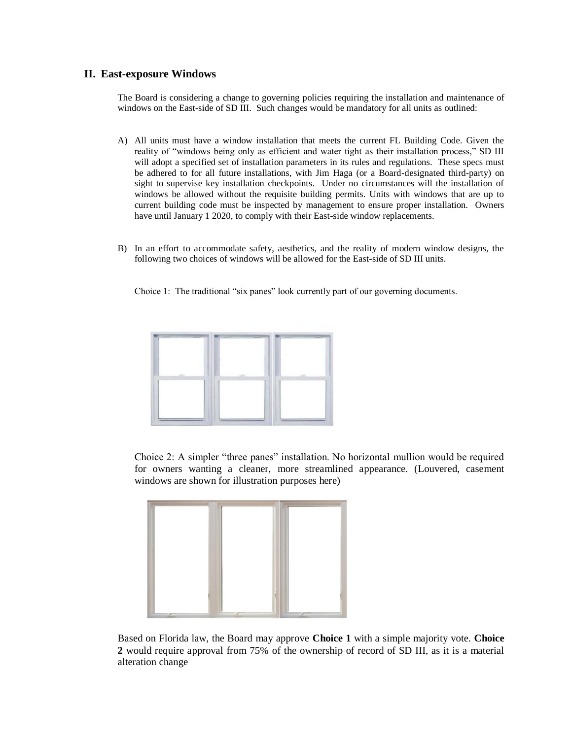#### **II. East-exposure Windows**

The Board is considering a change to governing policies requiring the installation and maintenance of windows on the East-side of SD III. Such changes would be mandatory for all units as outlined:

- A) All units must have a window installation that meets the current FL Building Code. Given the reality of "windows being only as efficient and water tight as their installation process," SD III will adopt a specified set of installation parameters in its rules and regulations. These specs must be adhered to for all future installations, with Jim Haga (or a Board-designated third-party) on sight to supervise key installation checkpoints. Under no circumstances will the installation of windows be allowed without the requisite building permits. Units with windows that are up to current building code must be inspected by management to ensure proper installation. Owners have until January 1 2020, to comply with their East-side window replacements.
- B) In an effort to accommodate safety, aesthetics, and the reality of modern window designs, the following two choices of windows will be allowed for the East-side of SD III units.

Choice 1: The traditional "six panes" look currently part of our governing documents.



Choice 2: A simpler "three panes" installation. No horizontal mullion would be required for owners wanting a cleaner, more streamlined appearance. (Louvered, casement windows are shown for illustration purposes here)



Based on Florida law, the Board may approve **Choice 1** with a simple majority vote. **Choice 2** would require approval from 75% of the ownership of record of SD III, as it is a material alteration change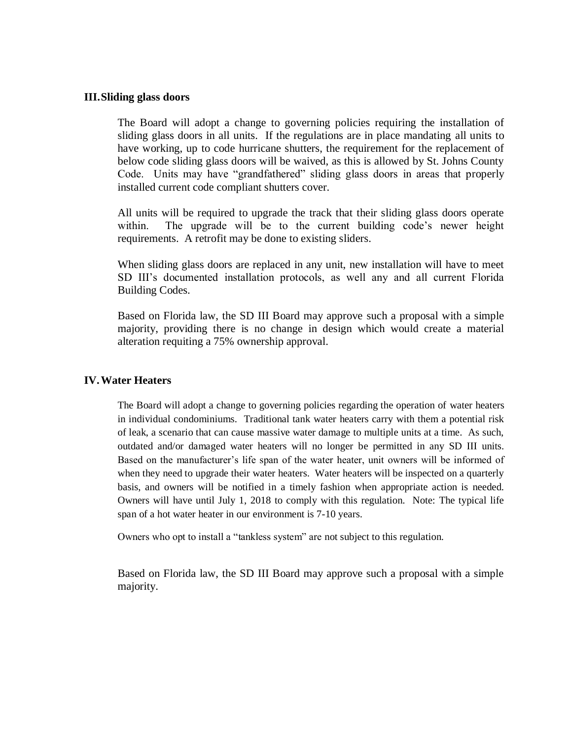#### **III.Sliding glass doors**

The Board will adopt a change to governing policies requiring the installation of sliding glass doors in all units. If the regulations are in place mandating all units to have working, up to code hurricane shutters, the requirement for the replacement of below code sliding glass doors will be waived, as this is allowed by St. Johns County Code. Units may have "grandfathered" sliding glass doors in areas that properly installed current code compliant shutters cover.

All units will be required to upgrade the track that their sliding glass doors operate within. The upgrade will be to the current building code's newer height requirements. A retrofit may be done to existing sliders.

When sliding glass doors are replaced in any unit, new installation will have to meet SD III's documented installation protocols, as well any and all current Florida Building Codes.

Based on Florida law, the SD III Board may approve such a proposal with a simple majority, providing there is no change in design which would create a material alteration requiting a 75% ownership approval.

#### **IV.Water Heaters**

The Board will adopt a change to governing policies regarding the operation of water heaters in individual condominiums. Traditional tank water heaters carry with them a potential risk of leak, a scenario that can cause massive water damage to multiple units at a time. As such, outdated and/or damaged water heaters will no longer be permitted in any SD III units. Based on the manufacturer's life span of the water heater, unit owners will be informed of when they need to upgrade their water heaters. Water heaters will be inspected on a quarterly basis, and owners will be notified in a timely fashion when appropriate action is needed. Owners will have until July 1, 2018 to comply with this regulation. Note: The typical life span of a hot water heater in our environment is 7-10 years.

Owners who opt to install a "tankless system" are not subject to this regulation.

Based on Florida law, the SD III Board may approve such a proposal with a simple majority.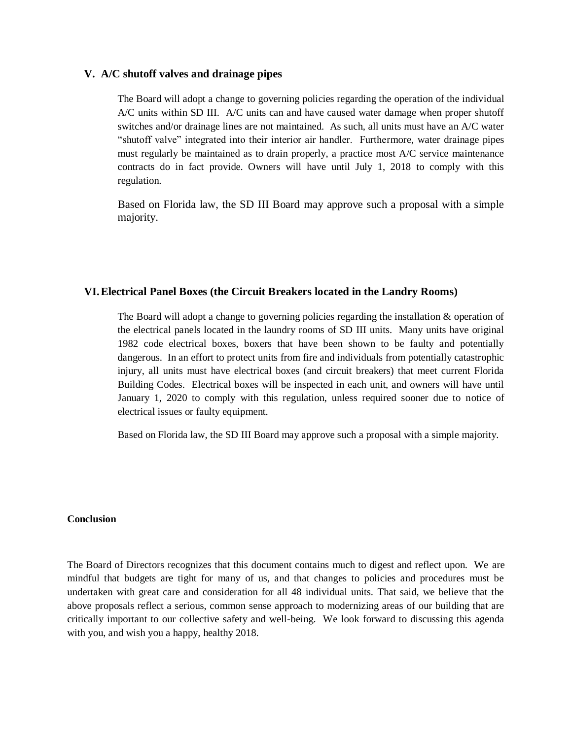#### **V. A/C shutoff valves and drainage pipes**

The Board will adopt a change to governing policies regarding the operation of the individual A/C units within SD III. A/C units can and have caused water damage when proper shutoff switches and/or drainage lines are not maintained. As such, all units must have an A/C water "shutoff valve" integrated into their interior air handler. Furthermore, water drainage pipes must regularly be maintained as to drain properly, a practice most A/C service maintenance contracts do in fact provide. Owners will have until July 1, 2018 to comply with this regulation.

Based on Florida law, the SD III Board may approve such a proposal with a simple majority.

#### **VI.Electrical Panel Boxes (the Circuit Breakers located in the Landry Rooms)**

The Board will adopt a change to governing policies regarding the installation & operation of the electrical panels located in the laundry rooms of SD III units. Many units have original 1982 code electrical boxes, boxers that have been shown to be faulty and potentially dangerous. In an effort to protect units from fire and individuals from potentially catastrophic injury, all units must have electrical boxes (and circuit breakers) that meet current Florida Building Codes. Electrical boxes will be inspected in each unit, and owners will have until January 1, 2020 to comply with this regulation, unless required sooner due to notice of electrical issues or faulty equipment.

Based on Florida law, the SD III Board may approve such a proposal with a simple majority.

#### **Conclusion**

The Board of Directors recognizes that this document contains much to digest and reflect upon. We are mindful that budgets are tight for many of us, and that changes to policies and procedures must be undertaken with great care and consideration for all 48 individual units. That said, we believe that the above proposals reflect a serious, common sense approach to modernizing areas of our building that are critically important to our collective safety and well-being. We look forward to discussing this agenda with you, and wish you a happy, healthy 2018.